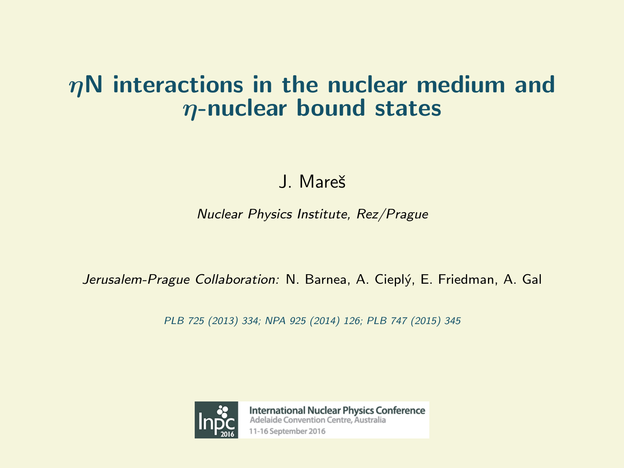## $\eta$ N interactions in the nuclear medium and  $\eta$ -nuclear bound states

J. Mareš

Nuclear Physics Institute, Rez/Prague

Jerusalem-Prague Collaboration: N. Barnea, A. Cieplý, E. Friedman, A. Gal

PLB 725 (2013) 334; NPA 925 (2014) 126; PLB 747 (2015) 345



**International Nuclear Physics Conference** Adelaide Convention Centre, Australia 11-16 September 2016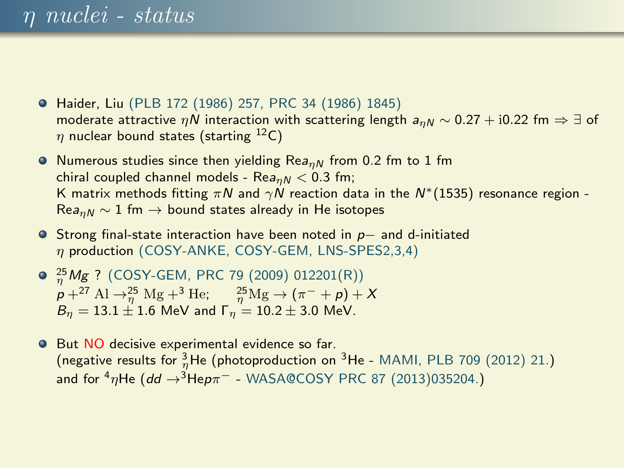- Haider, Liu (PLB 172 (1986) 257, PRC 34 (1986) 1845) moderate attractive  $\eta N$  interaction with scattering length  $a_{nN} \sim 0.27 + 10.22$  fm  $\Rightarrow \exists$  of  $\eta$  nuclear bound states (starting <sup>12</sup>C)
- Numerous studies since then yielding Rea<sub>nN</sub> from 0.2 fm to 1 fm chiral coupled channel models - Re $a_{n,N}$  < 0.3 fm; K matrix methods fitting  $\pi N$  and  $\gamma N$  reaction data in the  $N^*(1535)$  resonance region - $\text{Re}a_{nN} \sim 1$  fm  $\rightarrow$  bound states already in He isotopes
- Strong final-state interaction have been noted in p− and d-initiated  $\eta$  production (COSY-ANKE, COSY-GEM, LNS-SPES2,3,4)
- $\frac{25}{\eta}$ Mg ? (COSY-GEM, PRC 79 (2009) 012201(R))  $p + {}^{27} \text{Al} \rightarrow_{\eta} {}^{25} \text{Mg} + {}^{3} \text{He}; \quad \frac{{}^{25} \text{Mg}}{\eta} \rightarrow (\pi^- + p) + X$  $B_n = 13.1 \pm 1.6$  MeV and  $\Gamma_n = 10.2 \pm 3.0$  MeV.
- **O** But NO decisive experimental evidence so far. (negative results for  $\frac{3}{\eta}$ He (photoproduction on <sup>3</sup>He - MAMI, PLB 709 (2012) 21.) and for  $\binom{4}{7}$ He (dd  $\rightarrow$ <sup>3</sup>Hep $\pi^-$  - WASA@COSY PRC 87 (2013)035204.)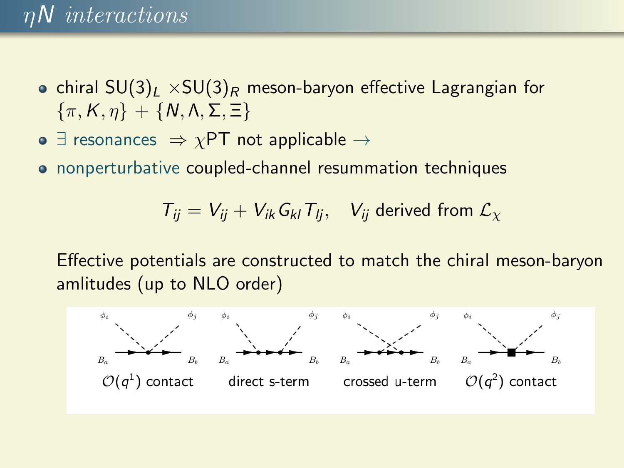## ηN interactions

- chiral  $SU(3)_L \times SU(3)_R$  meson-baryon effective Lagrangian for  $\{\pi, K, \eta\} + \{N, \Lambda, \Sigma, \Xi\}$
- $\exists$  resonances  $\Rightarrow \chi$ PT not applicable  $\rightarrow$
- nonperturbative coupled-channel resummation techniques

$$
T_{ij} = V_{ij} + V_{ik} G_{kl} T_{lj}, \quad V_{ij} \text{ derived from } \mathcal{L}_{\chi}
$$

Effective potentials are constructed to match the chiral meson-baryon amlitudes (up to NLO order)

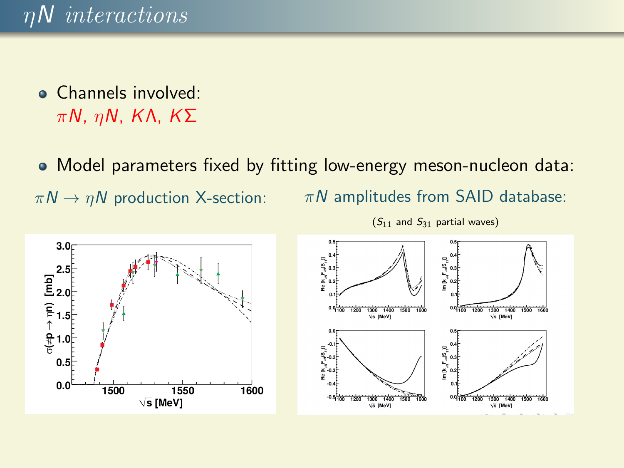Channels involved: πN, ηN, KΛ, KΣ

Model parameters fixed by fitting low-energy meson-nucleon data:  $\pi N \rightarrow \eta N$  production X-section:  $\pi N$  amplitudes from SAID database:



 $(S_{11}$  and  $S_{31}$  partial waves)

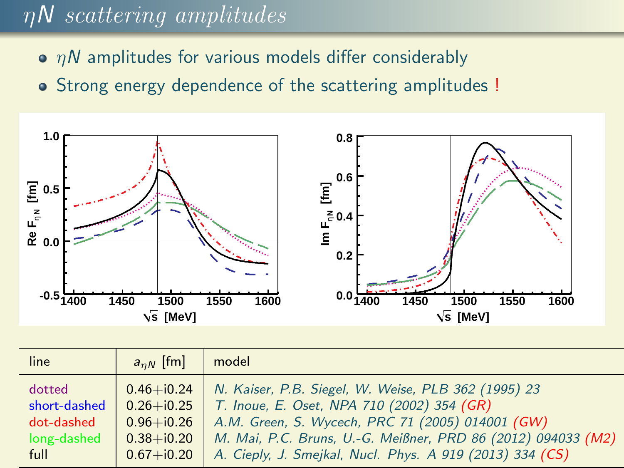# $\eta$ N scattering amplitudes

- $\bullet$   $nN$  amplitudes for various models differ considerably
- Strong energy dependence of the scattering amplitudes !



| line         | $a_{nN}$ [fm]  | model                                                        |
|--------------|----------------|--------------------------------------------------------------|
| dotted       | $0.46 + i0.24$ | N. Kaiser, P.B. Siegel, W. Weise, PLB 362 (1995) 23          |
| short-dashed | $0.26 + i0.25$ | T. Inoue, E. Oset, NPA 710 (2002) 354 (GR)                   |
| dot-dashed   | $0.96 + i0.26$ | A.M. Green, S. Wycech, PRC 71 (2005) 014001 (GW)             |
| long-dashed  | $0.38 + i0.20$ | M. Mai, P.C. Bruns, U.-G. Meißner, PRD 86 (2012) 094033 (M2) |
| full         | $0.67 + i0.20$ | A. Cieply, J. Smejkal, Nucl. Phys. A 919 (2013) 334 (CS)     |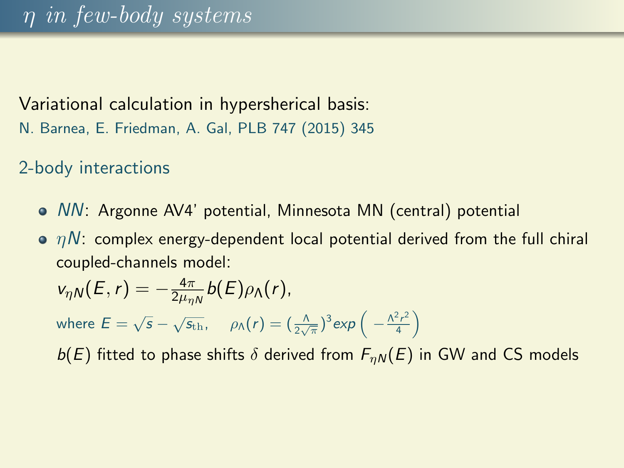#### Variational calculation in hypersherical basis:

N. Barnea, E. Friedman, A. Gal, PLB 747 (2015) 345

2-body interactions

- NN: Argonne AV4' potential, Minnesota MN (central) potential
- $\bullet$   $\eta N$ : complex energy-dependent local potential derived from the full chiral coupled-channels model:

$$
v_{\eta N}(E,r)=-\frac{4\pi}{2\mu_{\eta N}}b(E)\rho_{\Lambda}(r),
$$

where  $E = \sqrt{s} - \sqrt{s_{\text{th}}}, \quad \rho_{\Lambda}(r) = (\frac{\Lambda}{2\sqrt{\pi}})^3 \exp\left(-\frac{\Lambda^2 r^2}{4}\right)$  $\frac{2r^2}{4}$ 

 $b(E)$  fitted to phase shifts  $\delta$  derived from  $F_{nN}(E)$  in GW and CS models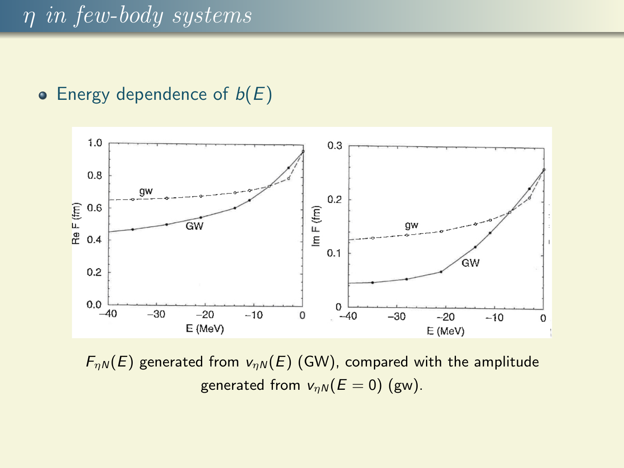• Energy dependence of  $b(E)$ 



 $F_{\eta N}(E)$  generated from  $v_{\eta N}(E)$  (GW), compared with the amplitude generated from  $v_{nN}(E = 0)$  (gw).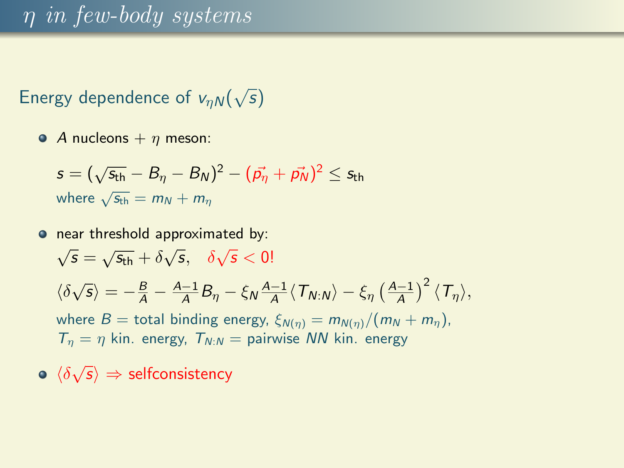## η in few-body systems

#### Energy dependence of  $v_{\eta N}($ √ s)

• A nucleons  $+ \eta$  meson:

$$
s = (\sqrt{s_{\text{th}}}-B_{\eta}-B_{N})^{2}-(\vec{p_{\eta}}+\vec{p_{N}})^{2} \leq s_{\text{th}}
$$
  
where  $\sqrt{s_{\text{th}}}=m_{N}+m_{\eta}$ 

o near threshold approximated by:

 $\sqrt{s} = \sqrt{s_{\text{th}}} + \delta \sqrt{s}, \quad \delta \sqrt{s} < 0!$  $\langle \delta \sqrt{s} \rangle = -\frac{B}{A} - \frac{A-1}{A} B_{\eta} - \xi_N \frac{A-1}{A} \langle T_{N:N} \rangle - \xi_{\eta} \left( \frac{A-1}{A} \right)^2 \langle T_{\eta} \rangle,$ where  $B =$  total binding energy,  $\xi_{N(\eta)} = m_{N(\eta)}/(m_N + m_\eta)$ ,  $T_n = \eta$  kin. energy,  $T_{N:N} =$  pairwise NN kin. energy

 $\langle \delta \sqrt{s} \rangle \Rightarrow$  selfconsistency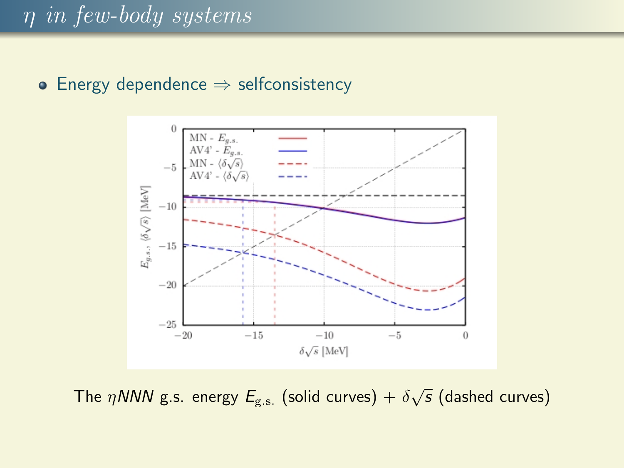#### • Energy dependence  $\Rightarrow$  selfconsistency



The  $\eta$ NNN g.s. energy  $E_{\rm g.s.}$  (solid curves)  $+$   $\delta\sqrt{s}$  (dashed curves)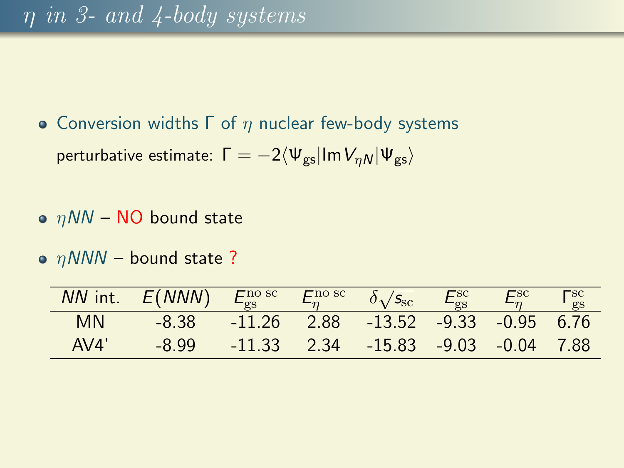- Conversion widths  $Γ$  of  $η$  nuclear few-body systems perturbative estimate:  $\Gamma = -2\langle \Psi_{gs} | Im V_{nN} | \Psi_{gs} \rangle$
- $\bullet$   $nNN$  NO bound state
- $\bullet$   $\eta$ NNN bound state ?

|           | $NN$ int. $E(NNN)$ | $E_{\rm gs}^{\rm no\;sc}$ | $\mathbf{F}^{\text{no sc}}$ | $\delta$ <sub>1</sub> / $S_{\rm sc}$        |        | $\Gamma_{\rm gs}^{\rm sc}$ |
|-----------|--------------------|---------------------------|-----------------------------|---------------------------------------------|--------|----------------------------|
|           |                    |                           |                             |                                             | $-0.8$ |                            |
| <b>MN</b> | -8.38              |                           |                             | $-11.26$ 2.88 $-13.52$ $-9.33$ $-0.95$ 6.76 |        |                            |
| AV4'      | -8.99              | $-11.33$                  |                             | $2.34$ $-15.83$ $-9.03$ $-0.04$ 7.88        |        |                            |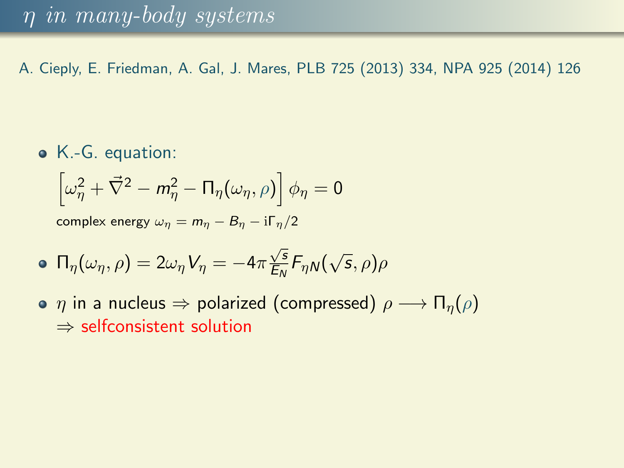A. Cieply, E. Friedman, A. Gal, J. Mares, PLB 725 (2013) 334, NPA 925 (2014) 126

K.-G. equation:

$$
\left[\omega_{\eta}^{2} + \vec{\nabla}^{2} - m_{\eta}^{2} - \Pi_{\eta}(\omega_{\eta}, \rho)\right] \phi_{\eta} = 0
$$

complex energy  $\omega_n = m_n - B_n - i \Gamma_n/2$ 

$$
\bullet \ \Pi_{\eta}(\omega_{\eta}, \rho) = 2\omega_{\eta} V_{\eta} = -4\pi \frac{\sqrt{s}}{E_N} F_{\eta N}(\sqrt{s}, \rho)\rho
$$

•  $\eta$  in a nucleus  $\Rightarrow$  polarized (compressed)  $\rho \longrightarrow \Pi_n(\rho)$ ⇒ selfconsistent solution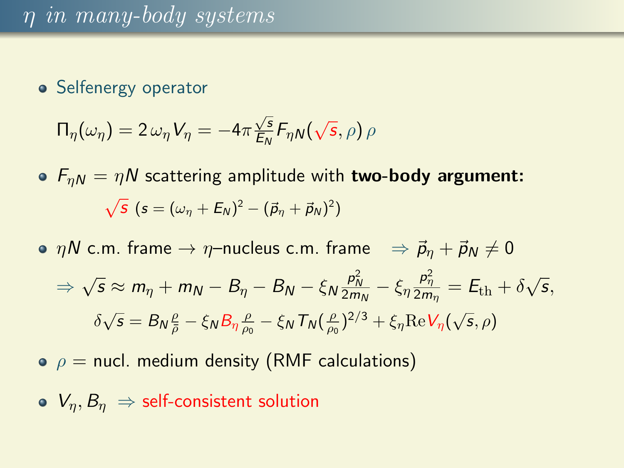• Selfenergy operator

$$
\Pi_{\eta}(\omega_{\eta}) = 2 \omega_{\eta} V_{\eta} = -4\pi \frac{\sqrt{s}}{E_N} F_{\eta N}(\sqrt{s}, \rho) \rho
$$

- $F_{nN} = \eta N$  scattering amplitude with **two-body argument:** √  $\overline{S}(s=(\omega_{\eta}+E_{N})^{2}-(\vec{p}_{\eta}+\vec{p}_{N})^{2})$
- $\eta N$  c.m. frame  $\rightarrow \eta$ -nucleus c.m. frame  $\Rightarrow \vec{p}_n + \vec{p}_N \neq 0$  $\Rightarrow \sqrt{s} \approx m_{\eta} + m_N - B_{\eta} - B_N - \xi_N \frac{p_N^2}{2m_N} - \xi_{\eta} \frac{p_{\eta}^2}{2m_{\eta}} = E_{\text{th}} + \delta$ √  $\overline{s},$  $\delta\sqrt{s} = B_N \frac{\rho}{\bar{\rho}} - \xi_N B_\eta \frac{\rho}{\rho_0} - \xi_N T_N (\frac{\rho}{\rho_0})^{2/3} + \xi_\eta \text{Re} V_\eta(\sqrt{s}, \rho)$
- $\rho =$  nucl. medium density (RMF calculations)
- $V_n, B_n \Rightarrow$  self-consistent solution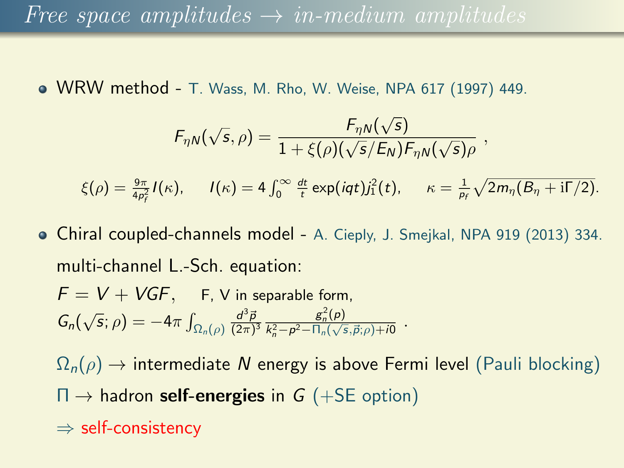## Free space amplitudes  $\rightarrow$  in-medium amplitudes

WRW method - T. Wass, M. Rho, W. Weise, NPA 617 (1997) 449.

$$
F_{\eta N}(\sqrt{s},\rho) = \frac{F_{\eta N}(\sqrt{s})}{1 + \xi(\rho)(\sqrt{s}/E_N)F_{\eta N}(\sqrt{s})\rho},
$$

 $\xi(\rho) = \frac{9\pi}{4\rho_r^2} I(\kappa), \quad I(\kappa) = 4 \int_0^\infty \frac{dt}{t} \exp(iqt) j_1^2(t), \quad \kappa = \frac{1}{\rho_f} \sqrt{2m_\eta (B_\eta + \mathrm{i}\Gamma/2)}.$ f

Chiral coupled-channels model - A. Cieply, J. Smejkal, NPA 919 (2013) 334. multi-channel L.-Sch. equation:

$$
F = V + VGF, \quad \text{F, V in separable form,}
$$
\n
$$
G_n(\sqrt{s}; \rho) = -4\pi \int_{\Omega_n(\rho)} \frac{d^3 \vec{p}}{(2\pi)^3} \frac{g_n^2(\rho)}{k_n^2 - \rho^2 - \Pi_n(\sqrt{s}, \vec{p}; \rho) + i0}.
$$

 $\Omega_n(\rho) \to$  intermediate N energy is above Fermi level (Pauli blocking)  $\Pi \rightarrow$  hadron self-energies in G (+SE option)

⇒ self-consistency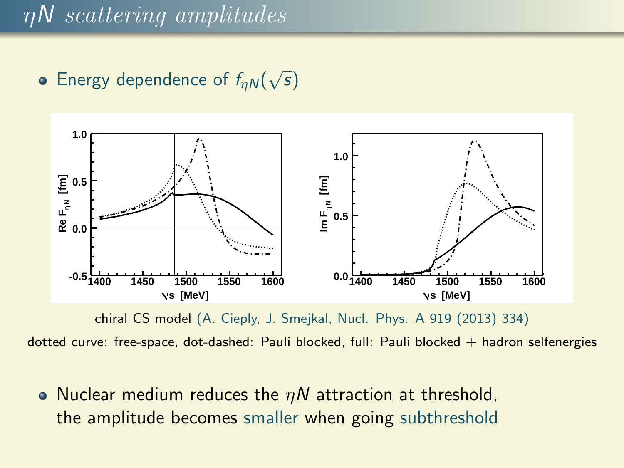#### Energy dependence of  $f_{\eta N}($ √ s)



chiral CS model (A. Cieply, J. Smejkal, Nucl. Phys. A 919 (2013) 334)

dotted curve: free-space, dot-dashed: Pauli blocked, full: Pauli blocked + hadron selfenergies

• Nuclear medium reduces the  $\eta N$  attraction at threshold, the amplitude becomes smaller when going subthreshold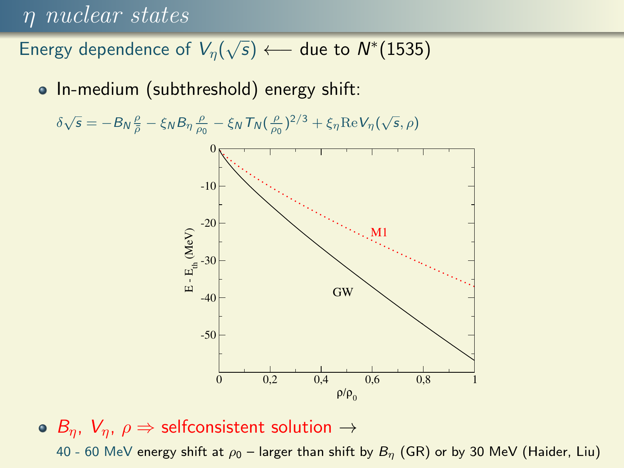### η nuclear states

Energy dependence of  $V_{\eta}(% \vec{p})$  $\sqrt{s}$  ← due to  $N^*(1535)$ 

• In-medium (subthreshold) energy shift:

 $\delta\sqrt{s} = -B_N\frac{\rho}{\bar{\rho}} - \xi_N B_\eta\frac{\rho}{\rho_0} - \xi_N T_N(\frac{\rho}{\rho_0})^{2/3} + \xi_\eta \text{Re}V_\eta(\sqrt{s}, \rho)$ 



### •  $B_n$ ,  $V_n$ ,  $\rho \Rightarrow$  selfconsistent solution  $\rightarrow$

40 - 60 MeV energy shift at  $\rho_0$  – larger than shift by  $B_n$  (GR) or by 30 MeV (Haider, Liu)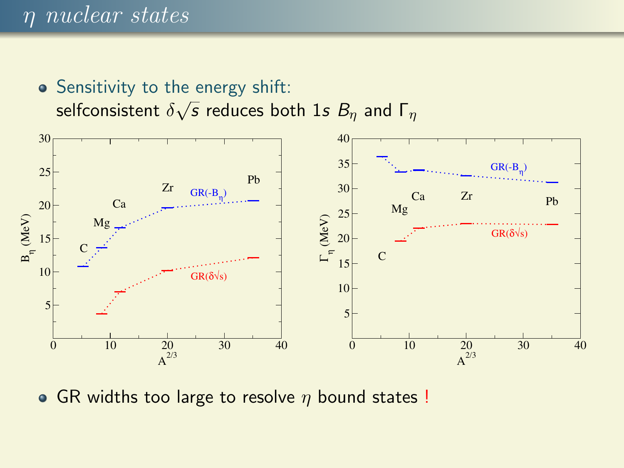## η nuclear states

• Sensitivity to the energy shift: selfconsistent  $\delta$ √  $\overline{s}$  reduces both 1s  $B_\eta$  and  $\overline{\mathsf{\Gamma}}_\eta$ 



• GR widths too large to resolve  $\eta$  bound states !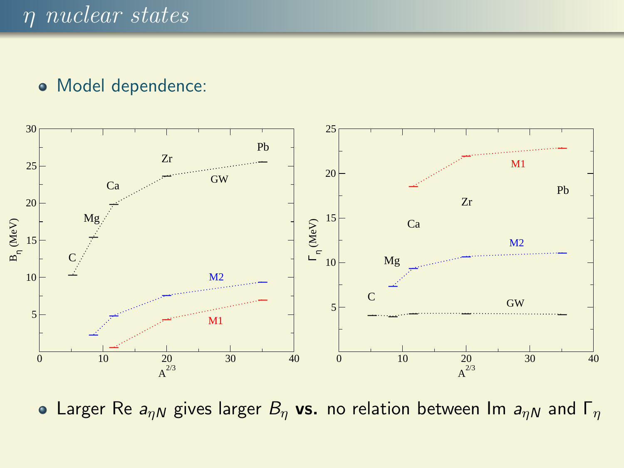#### Model dependence:



• Larger Re  $a_{\eta N}$  gives larger  $B_{\eta}$  vs. no relation between Im  $a_{\eta N}$  and  $\Gamma_{\eta}$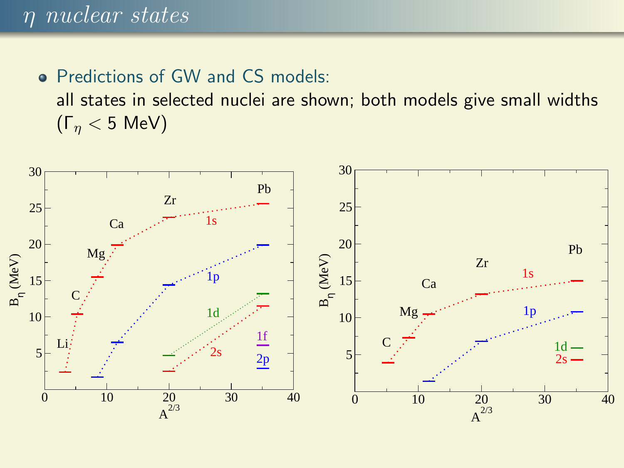### • Predictions of GW and CS models:

all states in selected nuclei are shown; both models give small widths (Γ<sup>η</sup> < 5 MeV)